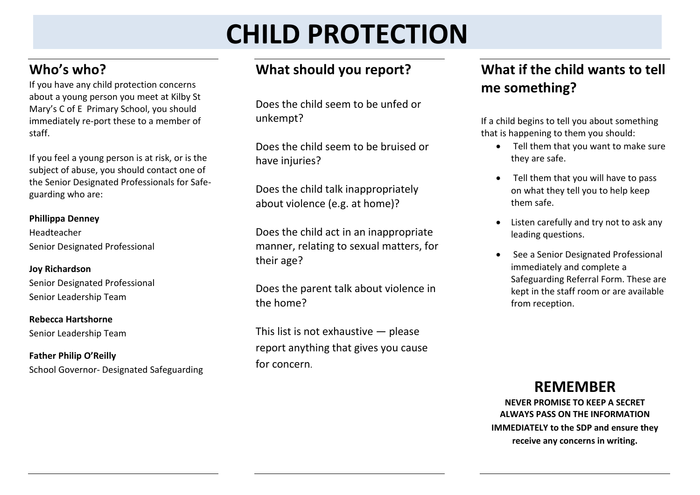# **CHILD PROTECTION**

# **Who's who?**

If you have any child protection concerns about a young person you meet at Kilby St Mary's C of E Primary School, you should immediately re-port these to a member of staff.

If you feel a young person is at risk, or is the subject of abuse, you should contact one of the Senior Designated Professionals for Safeguarding who are:

#### **Phillippa Denney**

Headteacher Senior Designated Professional

**Joy Richardson** Senior Designated Professional Senior Leadership Team

**Rebecca Hartshorne** Senior Leadership Team

**Father Philip O'Reilly** School Governor- Designated Safeguarding

# **What should you report?**

Does the child seem to be unfed or unkempt?

Does the child seem to be bruised or have injuries?

Does the child talk inappropriately about violence (e.g. at home)?

Does the child act in an inappropriate manner, relating to sexual matters, for their age?

Does the parent talk about violence in the home?

This list is not exhaustive — please report anything that gives you cause for concern.

# **What if the child wants to tell me something?**

If a child begins to tell you about something that is happening to them you should:

- Tell them that you want to make sure they are safe.
- Tell them that you will have to pass on what they tell you to help keep them safe.
- Listen carefully and try not to ask any leading questions.
- See a Senior Designated Professional immediately and complete a Safeguarding Referral Form. These are kept in the staff room or are available from reception.

## **REMEMBER**

**NEVER PROMISE TO KEEP A SECRET ALWAYS PASS ON THE INFORMATION IMMEDIATELY to the SDP and ensure they receive any concerns in writing.**